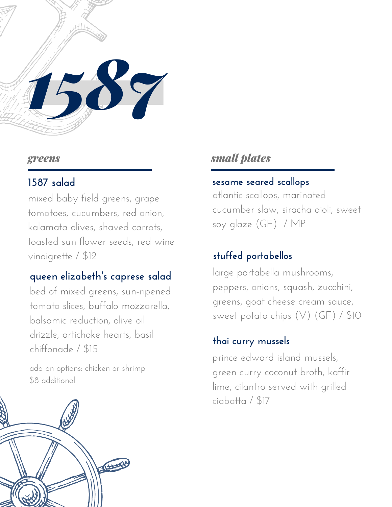

#### *greens*

## **1587 salad**

mixed baby field greens, grape tomatoes, cucumbers, red onion, kalamata olives, shaved carrots, toasted sun flower seeds, red wine vinaigrette / \$12

# **queen elizabeth' s caprese salad**

bed of mixed greens, sun-ripened tomato slices, buffalo mozzarella, balsamic reduction, olive oil drizzle, artichoke hearts, basil chiffonade / \$15

add on options: chicken or shrimp \$8 additional



## *small plates*

#### **sesame seared scallops**

atlantic scallops, marinated cucumber slaw, siracha aioli, sweet soy glaze (GF) / MP

### **stuffed portabellos**

large portabella mushrooms, peppers, onions, squash, zucchini, greens, goat cheese cream sauce, sweet potato chips (V) (GF) / \$10

#### **thai curry mussels**

prince edward island mussels, green curry coconut broth, kaffir lime, cilantro served with grilled ciabatta / \$17